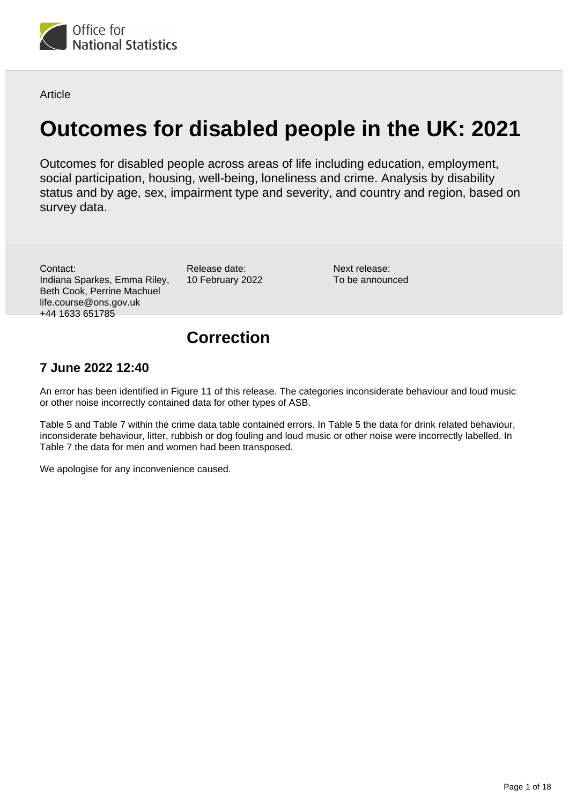

**Article** 

# **Outcomes for disabled people in the UK: 2021**

Outcomes for disabled people across areas of life including education, employment, social participation, housing, well-being, loneliness and crime. Analysis by disability status and by age, sex, impairment type and severity, and country and region, based on survey data.

Contact: Indiana Sparkes, Emma Riley, Beth Cook, Perrine Machuel life.course@ons.gov.uk +44 1633 651785

Release date: 10 February 2022

Next release: To be announced

## **Correction**

### **7 June 2022 12:40**

An error has been identified in Figure 11 of this release. The categories inconsiderate behaviour and loud music or other noise incorrectly contained data for other types of ASB.

Table 5 and Table 7 within the crime data table contained errors. In Table 5 the data for drink related behaviour, inconsiderate behaviour, litter, rubbish or dog fouling and loud music or other noise were incorrectly labelled. In Table 7 the data for men and women had been transposed.

We apologise for any inconvenience caused.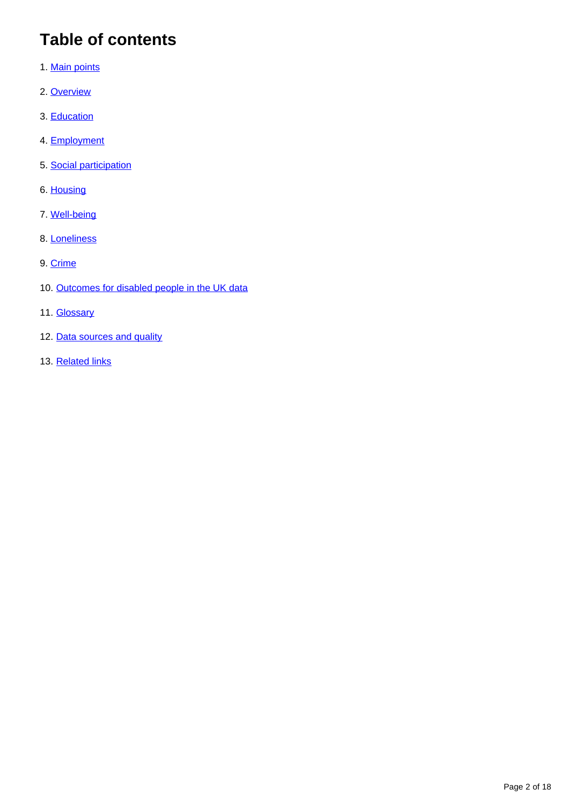# **Table of contents**

- 1. [Main points](#page-2-0)
- 2. [Overview](#page-2-1)
- 3. [Education](#page-3-0)
- 4. [Employment](#page-5-0)
- 5. [Social participation](#page-9-0)
- 6. [Housing](#page-10-0)
- 7. [Well-being](#page-11-0)
- 8. [Loneliness](#page-12-0)
- 9. [Crime](#page-13-0)
- 10. [Outcomes for disabled people in the UK data](#page-14-0)
- 11. **[Glossary](#page-14-1)**
- 12. [Data sources and quality](#page-15-0)
- 13. [Related links](#page-17-0)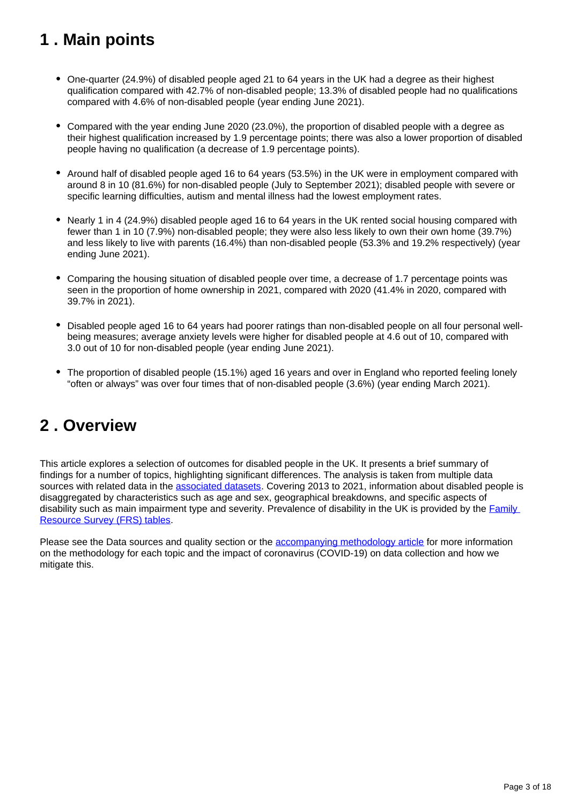# <span id="page-2-0"></span>**1 . Main points**

- One-quarter (24.9%) of disabled people aged 21 to 64 years in the UK had a degree as their highest qualification compared with 42.7% of non-disabled people; 13.3% of disabled people had no qualifications compared with 4.6% of non-disabled people (year ending June 2021).
- Compared with the year ending June 2020 (23.0%), the proportion of disabled people with a degree as their highest qualification increased by 1.9 percentage points; there was also a lower proportion of disabled people having no qualification (a decrease of 1.9 percentage points).
- Around half of disabled people aged 16 to 64 years (53.5%) in the UK were in employment compared with around 8 in 10 (81.6%) for non-disabled people (July to September 2021); disabled people with severe or specific learning difficulties, autism and mental illness had the lowest employment rates.
- Nearly 1 in 4 (24.9%) disabled people aged 16 to 64 years in the UK rented social housing compared with fewer than 1 in 10 (7.9%) non-disabled people; they were also less likely to own their own home (39.7%) and less likely to live with parents (16.4%) than non-disabled people (53.3% and 19.2% respectively) (year ending June 2021).
- Comparing the housing situation of disabled people over time, a decrease of 1.7 percentage points was seen in the proportion of home ownership in 2021, compared with 2020 (41.4% in 2020, compared with 39.7% in 2021).
- Disabled people aged 16 to 64 years had poorer ratings than non-disabled people on all four personal wellbeing measures; average anxiety levels were higher for disabled people at 4.6 out of 10, compared with 3.0 out of 10 for non-disabled people (year ending June 2021).
- The proportion of disabled people (15.1%) aged 16 years and over in England who reported feeling lonely "often or always" was over four times that of non-disabled people (3.6%) (year ending March 2021).

## <span id="page-2-1"></span>**2 . Overview**

This article explores a selection of outcomes for disabled people in the UK. It presents a brief summary of findings for a number of topics, highlighting significant differences. The analysis is taken from multiple data sources with related data in the [associated datasets](https://www.ons.gov.uk/peoplepopulationandcommunity/healthandsocialcare/disability/articles/outcomesfordisabledpeopleintheuk/2020#outcomes-for-disabled-people-in-the-uk-data). Covering 2013 to 2021, information about disabled people is disaggregated by characteristics such as age and sex, geographical breakdowns, and specific aspects of disability such as main impairment type and severity. Prevalence of disability in the UK is provided by the Family [Resource Survey \(FRS\) tables.](https://www.gov.uk/government/statistics/family-resources-survey-financial-year-2019-to-2020)

Please see the Data sources and quality section or the **accompanying methodology article** for more information on the methodology for each topic and the impact of coronavirus (COVID-19) on data collection and how we mitigate this.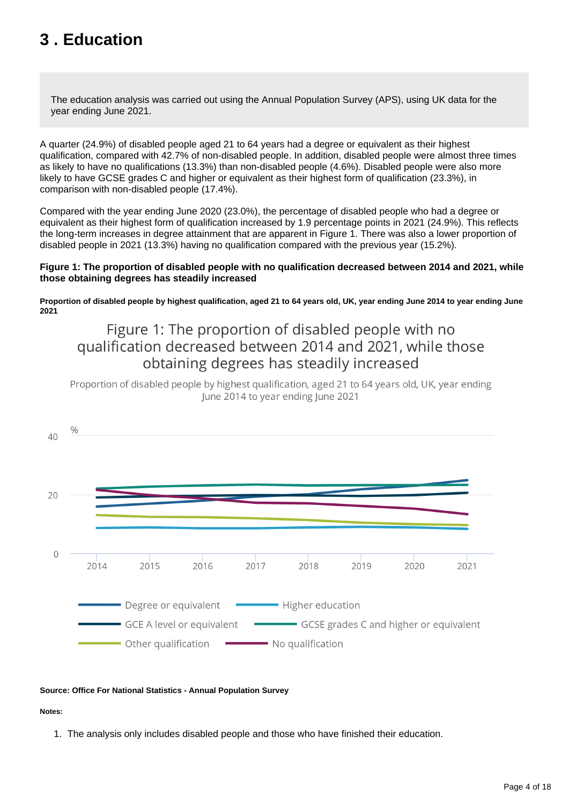# <span id="page-3-0"></span>**3 . Education**

The education analysis was carried out using the Annual Population Survey (APS), using UK data for the year ending June 2021.

A quarter (24.9%) of disabled people aged 21 to 64 years had a degree or equivalent as their highest qualification, compared with 42.7% of non-disabled people. In addition, disabled people were almost three times as likely to have no qualifications (13.3%) than non-disabled people (4.6%). Disabled people were also more likely to have GCSE grades C and higher or equivalent as their highest form of qualification (23.3%), in comparison with non-disabled people (17.4%).

Compared with the year ending June 2020 (23.0%), the percentage of disabled people who had a degree or equivalent as their highest form of qualification increased by 1.9 percentage points in 2021 (24.9%). This reflects the long-term increases in degree attainment that are apparent in Figure 1. There was also a lower proportion of disabled people in 2021 (13.3%) having no qualification compared with the previous year (15.2%).

#### **Figure 1: The proportion of disabled people with no qualification decreased between 2014 and 2021, while those obtaining degrees has steadily increased**

**Proportion of disabled people by highest qualification, aged 21 to 64 years old, UK, year ending June 2014 to year ending June 2021**

## Figure 1: The proportion of disabled people with no qualification decreased between 2014 and 2021, while those obtaining degrees has steadily increased

Proportion of disabled people by highest qualification, aged 21 to 64 years old, UK, year ending lune 2014 to year ending lune 2021



#### **Source: Office For National Statistics - Annual Population Survey**

#### **Notes:**

1. The analysis only includes disabled people and those who have finished their education.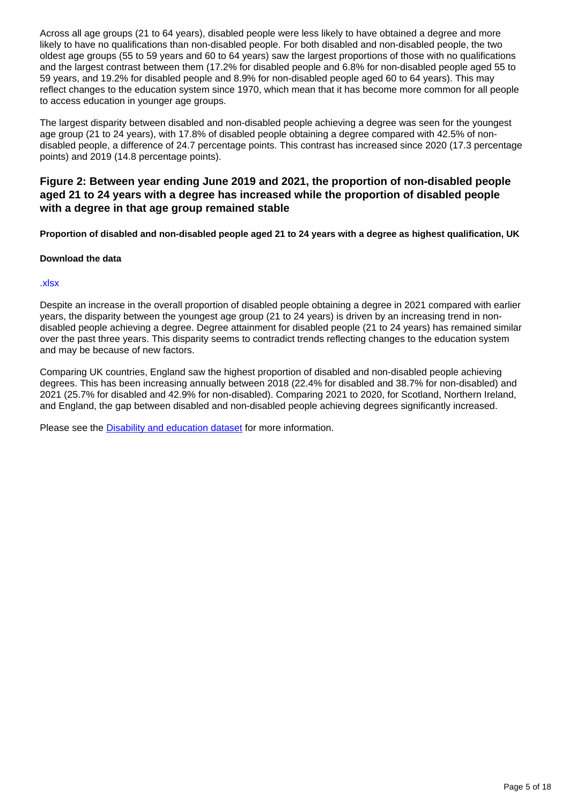Across all age groups (21 to 64 years), disabled people were less likely to have obtained a degree and more likely to have no qualifications than non-disabled people. For both disabled and non-disabled people, the two oldest age groups (55 to 59 years and 60 to 64 years) saw the largest proportions of those with no qualifications and the largest contrast between them (17.2% for disabled people and 6.8% for non-disabled people aged 55 to 59 years, and 19.2% for disabled people and 8.9% for non-disabled people aged 60 to 64 years). This may reflect changes to the education system since 1970, which mean that it has become more common for all people to access education in younger age groups.

The largest disparity between disabled and non-disabled people achieving a degree was seen for the youngest age group (21 to 24 years), with 17.8% of disabled people obtaining a degree compared with 42.5% of nondisabled people, a difference of 24.7 percentage points. This contrast has increased since 2020 (17.3 percentage points) and 2019 (14.8 percentage points).

#### **Figure 2: Between year ending June 2019 and 2021, the proportion of non-disabled people aged 21 to 24 years with a degree has increased while the proportion of disabled people with a degree in that age group remained stable**

**Proportion of disabled and non-disabled people aged 21 to 24 years with a degree as highest qualification, UK**

#### **Download the data**

#### [.xlsx](https://www.ons.gov.uk/visualisations/dvc1794/fig2b/datadownload.xlsx)

Despite an increase in the overall proportion of disabled people obtaining a degree in 2021 compared with earlier years, the disparity between the youngest age group (21 to 24 years) is driven by an increasing trend in nondisabled people achieving a degree. Degree attainment for disabled people (21 to 24 years) has remained similar over the past three years. This disparity seems to contradict trends reflecting changes to the education system and may be because of new factors.

Comparing UK countries, England saw the highest proportion of disabled and non-disabled people achieving degrees. This has been increasing annually between 2018 (22.4% for disabled and 38.7% for non-disabled) and 2021 (25.7% for disabled and 42.9% for non-disabled). Comparing 2021 to 2020, for Scotland, Northern Ireland, and England, the gap between disabled and non-disabled people achieving degrees significantly increased.

Please see the [Disability and education dataset](https://www.ons.gov.uk/peoplepopulationandcommunity/healthandsocialcare/disability/datasets/disabilityandeducation) for more information.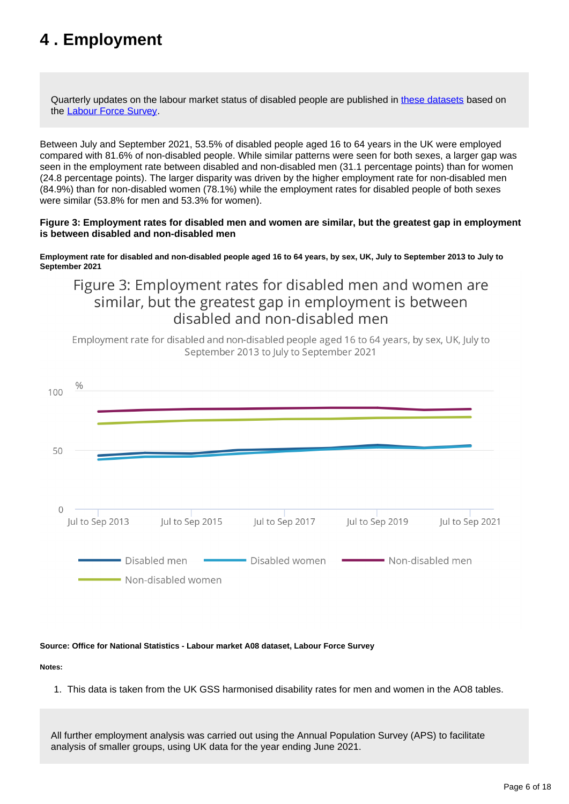# <span id="page-5-0"></span>**4 . Employment**

Quarterly updates on the labour market status of disabled people are published in [these datasets](https://www.ons.gov.uk/employmentandlabourmarket/peopleinwork/employmentandemployeetypes/datasets/labourmarketstatusofdisabledpeoplea08) based on the [Labour Force Survey.](https://www.ons.gov.uk/surveys/informationforhouseholdsandindividuals/householdandindividualsurveys/labourforcesurvey)

Between July and September 2021, 53.5% of disabled people aged 16 to 64 years in the UK were employed compared with 81.6% of non-disabled people. While similar patterns were seen for both sexes, a larger gap was seen in the employment rate between disabled and non-disabled men (31.1 percentage points) than for women (24.8 percentage points). The larger disparity was driven by the higher employment rate for non-disabled men (84.9%) than for non-disabled women (78.1%) while the employment rates for disabled people of both sexes were similar (53.8% for men and 53.3% for women).

#### **Figure 3: Employment rates for disabled men and women are similar, but the greatest gap in employment is between disabled and non-disabled men**

**Employment rate for disabled and non-disabled people aged 16 to 64 years, by sex, UK, July to September 2013 to July to September 2021**

## Figure 3: Employment rates for disabled men and women are similar, but the greatest gap in employment is between disabled and non-disabled men

Employment rate for disabled and non-disabled people aged 16 to 64 years, by sex, UK, July to September 2013 to July to September 2021



#### **Source: Office for National Statistics - Labour market A08 dataset, Labour Force Survey**

#### **Notes:**

1. This data is taken from the UK GSS harmonised disability rates for men and women in the AO8 tables.

All further employment analysis was carried out using the Annual Population Survey (APS) to facilitate analysis of smaller groups, using UK data for the year ending June 2021.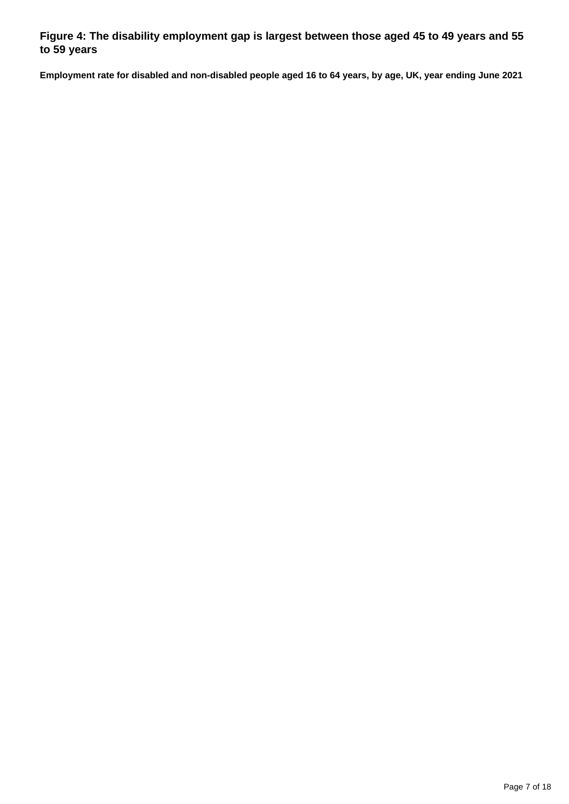### **Figure 4: The disability employment gap is largest between those aged 45 to 49 years and 55 to 59 years**

**Employment rate for disabled and non-disabled people aged 16 to 64 years, by age, UK, year ending June 2021**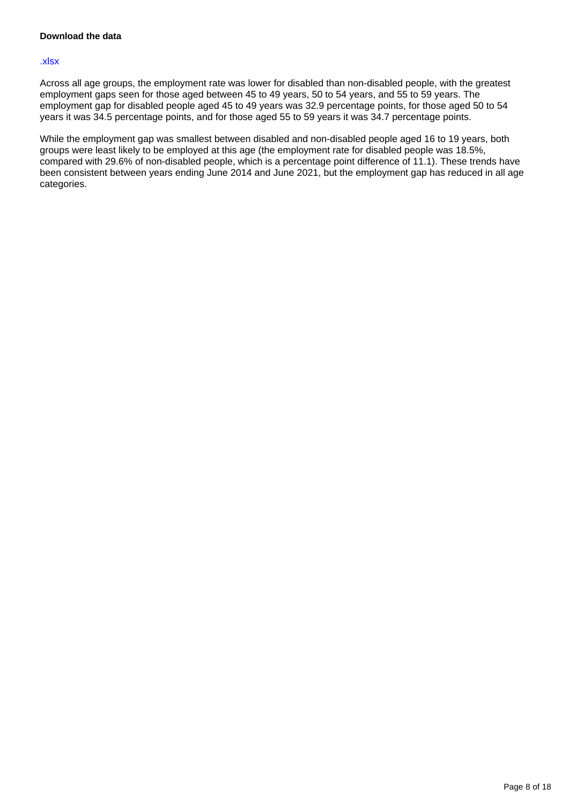#### [.xlsx](https://www.ons.gov.uk/visualisations/dvc1794/fig4/datadownload.xlsx)

Across all age groups, the employment rate was lower for disabled than non-disabled people, with the greatest employment gaps seen for those aged between 45 to 49 years, 50 to 54 years, and 55 to 59 years. The employment gap for disabled people aged 45 to 49 years was 32.9 percentage points, for those aged 50 to 54 years it was 34.5 percentage points, and for those aged 55 to 59 years it was 34.7 percentage points.

While the employment gap was smallest between disabled and non-disabled people aged 16 to 19 years, both groups were least likely to be employed at this age (the employment rate for disabled people was 18.5%, compared with 29.6% of non-disabled people, which is a percentage point difference of 11.1). These trends have been consistent between years ending June 2014 and June 2021, but the employment gap has reduced in all age categories.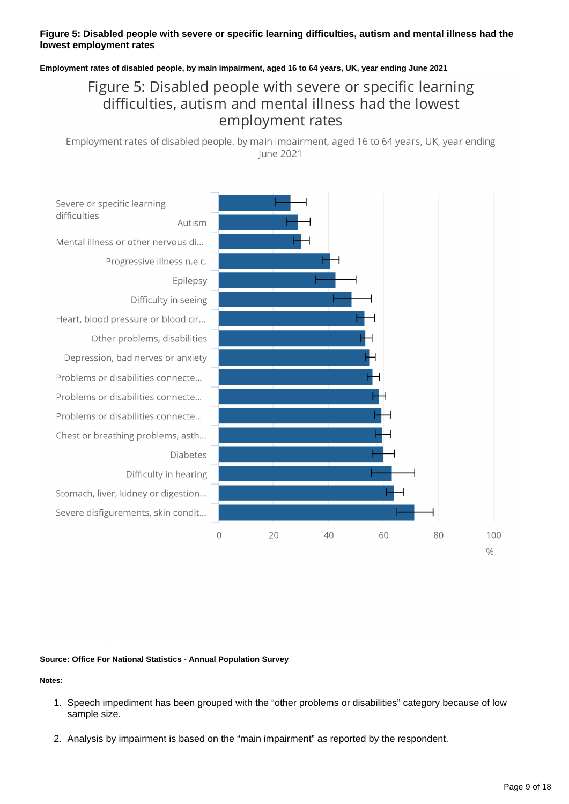#### **Figure 5: Disabled people with severe or specific learning difficulties, autism and mental illness had the lowest employment rates**

**Employment rates of disabled people, by main impairment, aged 16 to 64 years, UK, year ending June 2021**

## Figure 5: Disabled people with severe or specific learning difficulties, autism and mental illness had the lowest employment rates

Employment rates of disabled people, by main impairment, aged 16 to 64 years, UK, year ending June 2021



#### **Source: Office For National Statistics - Annual Population Survey**

**Notes:**

- 1. Speech impediment has been grouped with the "other problems or disabilities" category because of low sample size.
- 2. Analysis by impairment is based on the "main impairment" as reported by the respondent.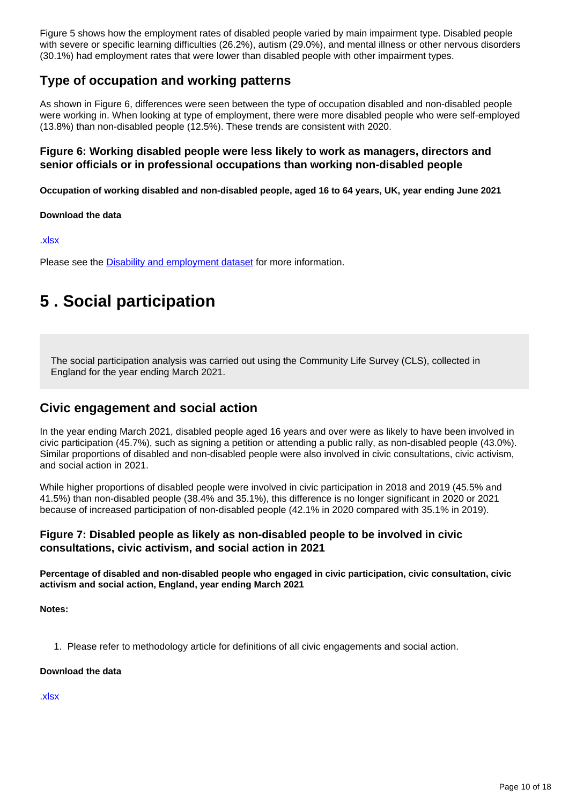Figure 5 shows how the employment rates of disabled people varied by main impairment type. Disabled people with severe or specific learning difficulties (26.2%), autism (29.0%), and mental illness or other nervous disorders (30.1%) had employment rates that were lower than disabled people with other impairment types.

### **Type of occupation and working patterns**

As shown in Figure 6, differences were seen between the type of occupation disabled and non-disabled people were working in. When looking at type of employment, there were more disabled people who were self-employed (13.8%) than non-disabled people (12.5%). These trends are consistent with 2020.

#### **Figure 6: Working disabled people were less likely to work as managers, directors and senior officials or in professional occupations than working non-disabled people**

**Occupation of working disabled and non-disabled people, aged 16 to 64 years, UK, year ending June 2021**

#### **Download the data**

[.xlsx](https://www.ons.gov.uk/visualisations/dvc1794/fig6/datadownload.xlsx)

Please see the **Disability and employment dataset** for more information.

# <span id="page-9-0"></span>**5 . Social participation**

The social participation analysis was carried out using the Community Life Survey (CLS), collected in England for the year ending March 2021.

### **Civic engagement and social action**

In the year ending March 2021, disabled people aged 16 years and over were as likely to have been involved in civic participation (45.7%), such as signing a petition or attending a public rally, as non-disabled people (43.0%). Similar proportions of disabled and non-disabled people were also involved in civic consultations, civic activism, and social action in 2021.

While higher proportions of disabled people were involved in civic participation in 2018 and 2019 (45.5% and 41.5%) than non-disabled people (38.4% and 35.1%), this difference is no longer significant in 2020 or 2021 because of increased participation of non-disabled people (42.1% in 2020 compared with 35.1% in 2019).

#### **Figure 7: Disabled people as likely as non-disabled people to be involved in civic consultations, civic activism, and social action in 2021**

**Percentage of disabled and non-disabled people who engaged in civic participation, civic consultation, civic activism and social action, England, year ending March 2021**

**Notes:**

1. Please refer to methodology article for definitions of all civic engagements and social action.

#### **Download the data**

[.xlsx](https://www.ons.gov.uk/visualisations/dvc1794/fig7/datadownload.xlsx)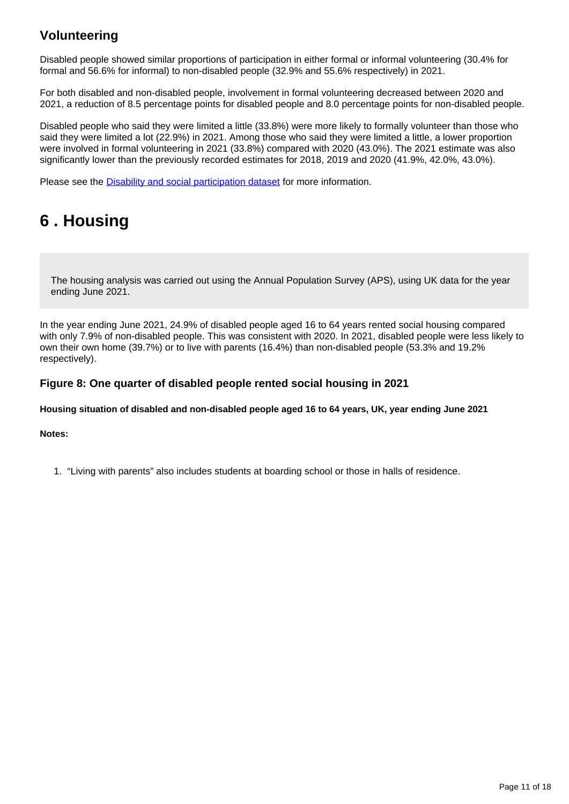### **Volunteering**

Disabled people showed similar proportions of participation in either formal or informal volunteering (30.4% for formal and 56.6% for informal) to non-disabled people (32.9% and 55.6% respectively) in 2021.

For both disabled and non-disabled people, involvement in formal volunteering decreased between 2020 and 2021, a reduction of 8.5 percentage points for disabled people and 8.0 percentage points for non-disabled people.

Disabled people who said they were limited a little (33.8%) were more likely to formally volunteer than those who said they were limited a lot (22.9%) in 2021. Among those who said they were limited a little, a lower proportion were involved in formal volunteering in 2021 (33.8%) compared with 2020 (43.0%). The 2021 estimate was also significantly lower than the previously recorded estimates for 2018, 2019 and 2020 (41.9%, 42.0%, 43.0%).

Please see the [Disability and social participation dataset](https://www.ons.gov.uk/peoplepopulationandcommunity/healthandsocialcare/disability/datasets/disabilityandsocialparticipation) for more information.

# <span id="page-10-0"></span>**6 . Housing**

The housing analysis was carried out using the Annual Population Survey (APS), using UK data for the year ending June 2021.

In the year ending June 2021, 24.9% of disabled people aged 16 to 64 years rented social housing compared with only 7.9% of non-disabled people. This was consistent with 2020. In 2021, disabled people were less likely to own their own home (39.7%) or to live with parents (16.4%) than non-disabled people (53.3% and 19.2% respectively).

#### **Figure 8: One quarter of disabled people rented social housing in 2021**

**Housing situation of disabled and non-disabled people aged 16 to 64 years, UK, year ending June 2021**

#### **Notes:**

1. "Living with parents" also includes students at boarding school or those in halls of residence.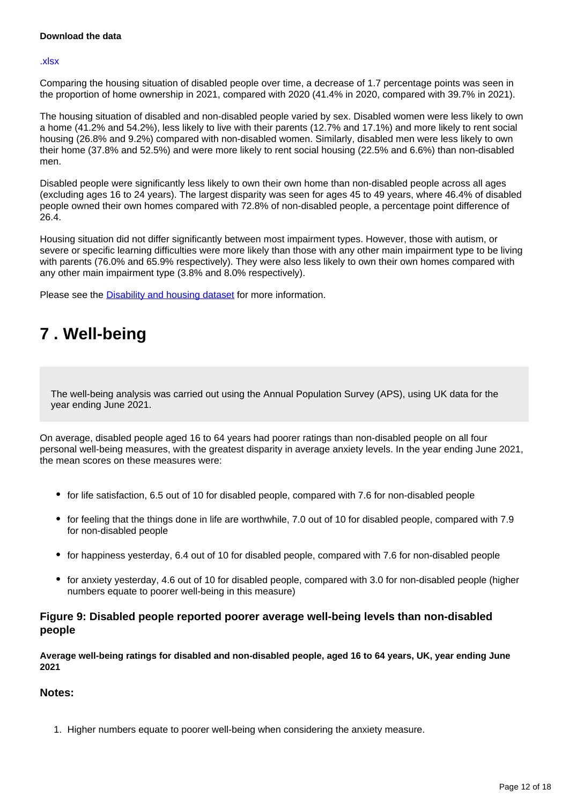#### **Download the data**

#### [.xlsx](https://www.ons.gov.uk/visualisations/dvc1794/fig8/datadownload.xlsx)

Comparing the housing situation of disabled people over time, a decrease of 1.7 percentage points was seen in the proportion of home ownership in 2021, compared with 2020 (41.4% in 2020, compared with 39.7% in 2021).

The housing situation of disabled and non-disabled people varied by sex. Disabled women were less likely to own a home (41.2% and 54.2%), less likely to live with their parents (12.7% and 17.1%) and more likely to rent social housing (26.8% and 9.2%) compared with non-disabled women. Similarly, disabled men were less likely to own their home (37.8% and 52.5%) and were more likely to rent social housing (22.5% and 6.6%) than non-disabled men.

Disabled people were significantly less likely to own their own home than non-disabled people across all ages (excluding ages 16 to 24 years). The largest disparity was seen for ages 45 to 49 years, where 46.4% of disabled people owned their own homes compared with 72.8% of non-disabled people, a percentage point difference of 26.4.

Housing situation did not differ significantly between most impairment types. However, those with autism, or severe or specific learning difficulties were more likely than those with any other main impairment type to be living with parents (76.0% and 65.9% respectively). They were also less likely to own their own homes compared with any other main impairment type (3.8% and 8.0% respectively).

Please see the [Disability and housing dataset](https://www.ons.gov.uk/peoplepopulationandcommunity/healthandsocialcare/disability/datasets/disabilityandhousinguk) for more information.

## <span id="page-11-0"></span>**7 . Well-being**

The well-being analysis was carried out using the Annual Population Survey (APS), using UK data for the year ending June 2021.

On average, disabled people aged 16 to 64 years had poorer ratings than non-disabled people on all four personal well-being measures, with the greatest disparity in average anxiety levels. In the year ending June 2021, the mean scores on these measures were:

- for life satisfaction, 6.5 out of 10 for disabled people, compared with 7.6 for non-disabled people
- for feeling that the things done in life are worthwhile, 7.0 out of 10 for disabled people, compared with 7.9 for non-disabled people
- for happiness yesterday, 6.4 out of 10 for disabled people, compared with 7.6 for non-disabled people
- for anxiety yesterday, 4.6 out of 10 for disabled people, compared with 3.0 for non-disabled people (higher numbers equate to poorer well-being in this measure)

#### **Figure 9: Disabled people reported poorer average well-being levels than non-disabled people**

**Average well-being ratings for disabled and non-disabled people, aged 16 to 64 years, UK, year ending June 2021**

#### **Notes:**

1. Higher numbers equate to poorer well-being when considering the anxiety measure.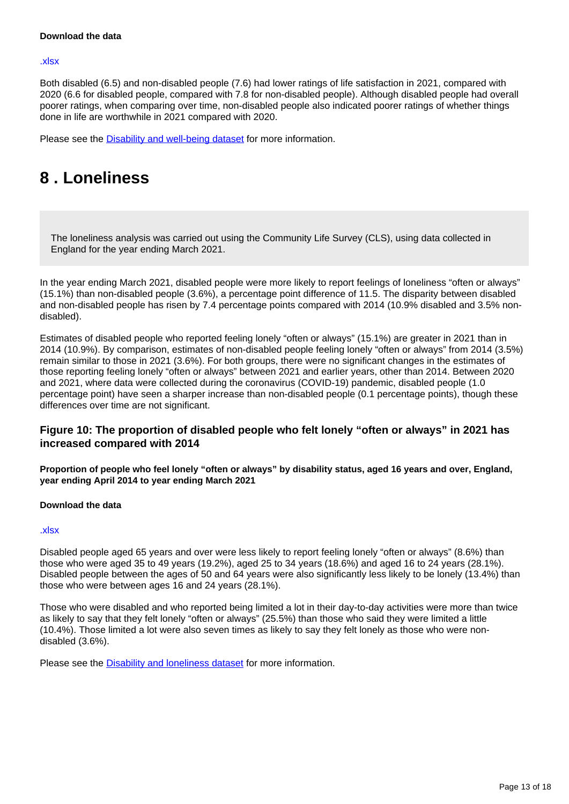#### **Download the data**

#### [.xlsx](https://www.ons.gov.uk/visualisations/dvc1794/fig9/datadownload.xlsx)

Both disabled (6.5) and non-disabled people (7.6) had lower ratings of life satisfaction in 2021, compared with 2020 (6.6 for disabled people, compared with 7.8 for non-disabled people). Although disabled people had overall poorer ratings, when comparing over time, non-disabled people also indicated poorer ratings of whether things done in life are worthwhile in 2021 compared with 2020.

Please see the [Disability and well-being dataset](https://www.ons.gov.uk/peoplepopulationandcommunity/healthandsocialcare/disability/datasets/disabilityandwellbeing) for more information.

## <span id="page-12-0"></span>**8 . Loneliness**

The loneliness analysis was carried out using the Community Life Survey (CLS), using data collected in England for the year ending March 2021.

In the year ending March 2021, disabled people were more likely to report feelings of loneliness "often or always" (15.1%) than non-disabled people (3.6%), a percentage point difference of 11.5. The disparity between disabled and non-disabled people has risen by 7.4 percentage points compared with 2014 (10.9% disabled and 3.5% nondisabled).

Estimates of disabled people who reported feeling lonely "often or always" (15.1%) are greater in 2021 than in 2014 (10.9%). By comparison, estimates of non-disabled people feeling lonely "often or always" from 2014 (3.5%) remain similar to those in 2021 (3.6%). For both groups, there were no significant changes in the estimates of those reporting feeling lonely "often or always" between 2021 and earlier years, other than 2014. Between 2020 and 2021, where data were collected during the coronavirus (COVID-19) pandemic, disabled people (1.0 percentage point) have seen a sharper increase than non-disabled people (0.1 percentage points), though these differences over time are not significant.

#### **Figure 10: The proportion of disabled people who felt lonely "often or always" in 2021 has increased compared with 2014**

**Proportion of people who feel lonely "often or always" by disability status, aged 16 years and over, England, year ending April 2014 to year ending March 2021**

#### **Download the data**

#### [.xlsx](https://www.ons.gov.uk/visualisations/dvc1794/fig10-line/datadownload.xlsx)

Disabled people aged 65 years and over were less likely to report feeling lonely "often or always" (8.6%) than those who were aged 35 to 49 years (19.2%), aged 25 to 34 years (18.6%) and aged 16 to 24 years (28.1%). Disabled people between the ages of 50 and 64 years were also significantly less likely to be lonely (13.4%) than those who were between ages 16 and 24 years (28.1%).

Those who were disabled and who reported being limited a lot in their day-to-day activities were more than twice as likely to say that they felt lonely "often or always" (25.5%) than those who said they were limited a little (10.4%). Those limited a lot were also seven times as likely to say they felt lonely as those who were nondisabled (3.6%).

Please see the **Disability and loneliness dataset** for more information.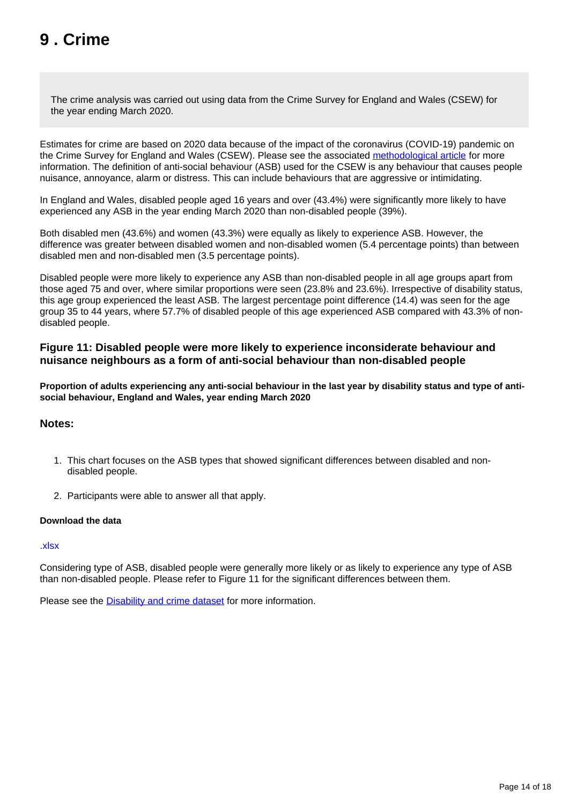# <span id="page-13-0"></span>**9 . Crime**

The crime analysis was carried out using data from the Crime Survey for England and Wales (CSEW) for the year ending March 2020.

Estimates for crime are based on 2020 data because of the impact of the coronavirus (COVID-19) pandemic on the Crime Survey for England and Wales (CSEW). Please see the associated [methodological article](https://www.ons.gov.uk/peoplepopulationandcommunity/healthandsocialcare/disability/methodologies/outcomesfordisabledpeopleintheukmethodology2021update) for more information. The definition of anti-social behaviour (ASB) used for the CSEW is any behaviour that causes people nuisance, annoyance, alarm or distress. This can include behaviours that are aggressive or intimidating.

In England and Wales, disabled people aged 16 years and over (43.4%) were significantly more likely to have experienced any ASB in the year ending March 2020 than non-disabled people (39%).

Both disabled men (43.6%) and women (43.3%) were equally as likely to experience ASB. However, the difference was greater between disabled women and non-disabled women (5.4 percentage points) than between disabled men and non-disabled men (3.5 percentage points).

Disabled people were more likely to experience any ASB than non-disabled people in all age groups apart from those aged 75 and over, where similar proportions were seen (23.8% and 23.6%). Irrespective of disability status, this age group experienced the least ASB. The largest percentage point difference (14.4) was seen for the age group 35 to 44 years, where 57.7% of disabled people of this age experienced ASB compared with 43.3% of nondisabled people.

#### **Figure 11: Disabled people were more likely to experience inconsiderate behaviour and nuisance neighbours as a form of anti-social behaviour than non-disabled people**

**Proportion of adults experiencing any anti-social behaviour in the last year by disability status and type of antisocial behaviour, England and Wales, year ending March 2020**

#### **Notes:**

- 1. This chart focuses on the ASB types that showed significant differences between disabled and nondisabled people.
- 2. Participants were able to answer all that apply.

#### **Download the data**

#### [.xlsx](https://www.ons.gov.uk/visualisations/dvc1794update/fig11-update/datadownload.xlsx)

Considering type of ASB, disabled people were generally more likely or as likely to experience any type of ASB than non-disabled people. Please refer to Figure 11 for the significant differences between them.

Please see the [Disability and crime dataset](https://www.ons.gov.uk/peoplepopulationandcommunity/healthandsocialcare/disability/datasets/disabilityandcrime) for more information.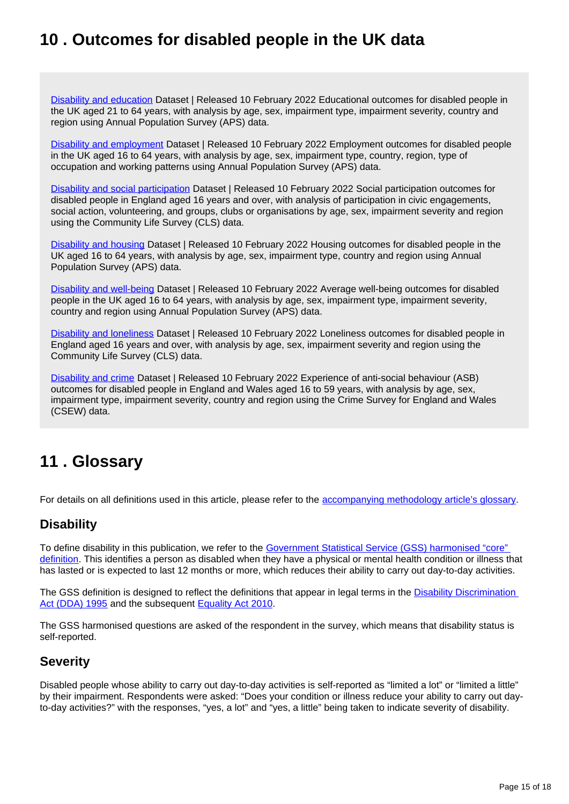## <span id="page-14-0"></span>**10 . Outcomes for disabled people in the UK data**

[Disability and education](https://www.ons.gov.uk/peoplepopulationandcommunity/healthandsocialcare/disability/datasets/disabilityandeducation) Dataset | Released 10 February 2022 Educational outcomes for disabled people in the UK aged 21 to 64 years, with analysis by age, sex, impairment type, impairment severity, country and region using Annual Population Survey (APS) data.

[Disability and employment](https://www.ons.gov.uk/peoplepopulationandcommunity/healthandsocialcare/disability/datasets/disabilityandemployment) Dataset | Released 10 February 2022 Employment outcomes for disabled people in the UK aged 16 to 64 years, with analysis by age, sex, impairment type, country, region, type of occupation and working patterns using Annual Population Survey (APS) data.

[Disability and social participation](https://www.ons.gov.uk/peoplepopulationandcommunity/healthandsocialcare/disability/datasets/disabilityandsocialparticipation) Dataset | Released 10 February 2022 Social participation outcomes for disabled people in England aged 16 years and over, with analysis of participation in civic engagements, social action, volunteering, and groups, clubs or organisations by age, sex, impairment severity and region using the Community Life Survey (CLS) data.

[Disability and housing](https://www.ons.gov.uk/peoplepopulationandcommunity/healthandsocialcare/disability/datasets/disabilityandhousinguk) Dataset | Released 10 February 2022 Housing outcomes for disabled people in the UK aged 16 to 64 years, with analysis by age, sex, impairment type, country and region using Annual Population Survey (APS) data.

[Disability and well-being](https://www.ons.gov.uk/peoplepopulationandcommunity/healthandsocialcare/disability/datasets/disabilityandwellbeing) Dataset | Released 10 February 2022 Average well-being outcomes for disabled people in the UK aged 16 to 64 years, with analysis by age, sex, impairment type, impairment severity, country and region using Annual Population Survey (APS) data.

[Disability and loneliness](https://www.ons.gov.uk/peoplepopulationandcommunity/healthandsocialcare/disability/datasets/disabilityandloneliness) Dataset | Released 10 February 2022 Loneliness outcomes for disabled people in England aged 16 years and over, with analysis by age, sex, impairment severity and region using the Community Life Survey (CLS) data.

[Disability and crime](https://www.ons.gov.uk/peoplepopulationandcommunity/healthandsocialcare/disability/datasets/disabilityandcrime) Dataset | Released 10 February 2022 Experience of anti-social behaviour (ASB) outcomes for disabled people in England and Wales aged 16 to 59 years, with analysis by age, sex, impairment type, impairment severity, country and region using the Crime Survey for England and Wales (CSEW) data.

## <span id="page-14-1"></span>**11 . Glossary**

For details on all definitions used in this article, please refer to the [accompanying methodology article's glossary](https://www.ons.gov.uk/peoplepopulationandcommunity/healthandsocialcare/disability/methodologies/outcomesfordisabledpeopleintheukmethodology2021update#:~:text=3.-,Glossary,-Disability-related%20definitions).

### **Disability**

To define disability in this publication, we refer to the Government Statistical Service (GSS) harmonised "core" [definition](https://gss.civilservice.gov.uk/policy-store/measuring-disability-for-the-equality-act-2010/). This identifies a person as disabled when they have a physical or mental health condition or illness that has lasted or is expected to last 12 months or more, which reduces their ability to carry out day-to-day activities.

The GSS definition is designed to reflect the definitions that appear in legal terms in the Disability Discrimination [Act \(DDA\) 1995](https://www.legislation.gov.uk/ukpga/1995/50/contents) and the subsequent [Equality Act 2010](https://www.legislation.gov.uk/ukpga/2010/15/section/6).

The GSS harmonised questions are asked of the respondent in the survey, which means that disability status is self-reported.

### **Severity**

Disabled people whose ability to carry out day-to-day activities is self-reported as "limited a lot" or "limited a little" by their impairment. Respondents were asked: "Does your condition or illness reduce your ability to carry out dayto-day activities?" with the responses, "yes, a lot" and "yes, a little" being taken to indicate severity of disability.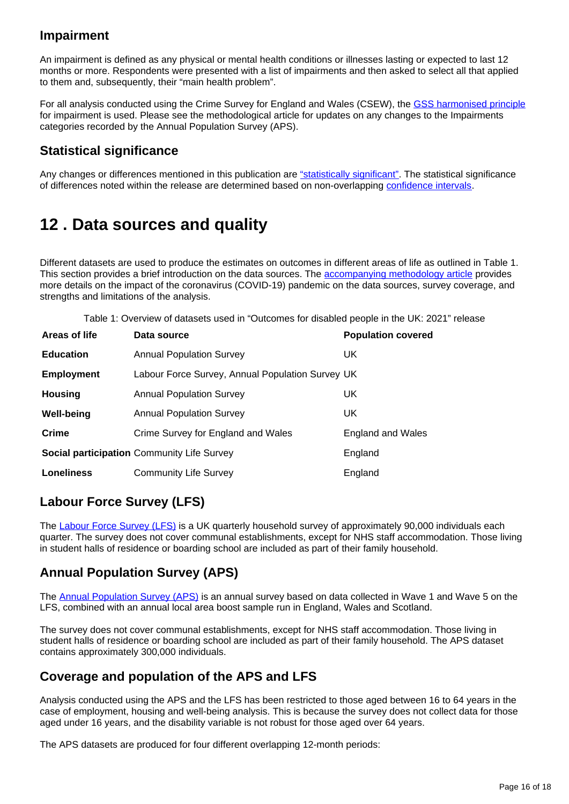### **Impairment**

An impairment is defined as any physical or mental health conditions or illnesses lasting or expected to last 12 months or more. Respondents were presented with a list of impairments and then asked to select all that applied to them and, subsequently, their "main health problem".

For all analysis conducted using the Crime Survey for England and Wales (CSEW), the [GSS harmonised principle](https://gss.civilservice.gov.uk/policy-store/impairment/) for impairment is used. Please see the methodological article for updates on any changes to the Impairments categories recorded by the Annual Population Survey (APS).

### **Statistical significance**

Any changes or differences mentioned in this publication are ["statistically significant"](https://www.ons.gov.uk/methodology/methodologytopicsandstatisticalconcepts/uncertaintyandhowwemeasureit#statistical-significance). The statistical significance of differences noted within the release are determined based on non-overlapping [confidence intervals.](https://www.ons.gov.uk/methodology/methodologytopicsandstatisticalconcepts/uncertaintyandhowwemeasureit#confidence-interval)

## <span id="page-15-0"></span>**12 . Data sources and quality**

Different datasets are used to produce the estimates on outcomes in different areas of life as outlined in Table 1. This section provides a brief introduction on the data sources. The **accompanying methodology article** provides more details on the impact of the coronavirus (COVID-19) pandemic on the data sources, survey coverage, and strengths and limitations of the analysis.

Table 1: Overview of datasets used in "Outcomes for disabled people in the UK: 2021" release

| Areas of life     | Data source                                      | <b>Population covered</b> |
|-------------------|--------------------------------------------------|---------------------------|
| <b>Education</b>  | <b>Annual Population Survey</b>                  | UK.                       |
| <b>Employment</b> | Labour Force Survey, Annual Population Survey UK |                           |
| <b>Housing</b>    | <b>Annual Population Survey</b>                  | UK                        |
| <b>Well-being</b> | <b>Annual Population Survey</b>                  | UK.                       |
| Crime             | Crime Survey for England and Wales               | <b>England and Wales</b>  |
|                   | Social participation Community Life Survey       | England                   |
| <b>Loneliness</b> | <b>Community Life Survey</b>                     | England                   |

### **Labour Force Survey (LFS)**

The [Labour Force Survey \(LFS\)](https://www.ons.gov.uk/surveys/informationforhouseholdsandindividuals/householdandindividualsurveys/labourforcesurvey) is a UK quarterly household survey of approximately 90,000 individuals each quarter. The survey does not cover communal establishments, except for NHS staff accommodation. Those living in student halls of residence or boarding school are included as part of their family household.

### **Annual Population Survey (APS)**

The [Annual Population Survey \(APS\)](https://www.ons.gov.uk/employmentandlabourmarket/peopleinwork/employmentandemployeetypes/methodologies/annualpopulationsurveyapsqmi) is an annual survey based on data collected in Wave 1 and Wave 5 on the LFS, combined with an annual local area boost sample run in England, Wales and Scotland.

The survey does not cover communal establishments, except for NHS staff accommodation. Those living in student halls of residence or boarding school are included as part of their family household. The APS dataset contains approximately 300,000 individuals.

### **Coverage and population of the APS and LFS**

Analysis conducted using the APS and the LFS has been restricted to those aged between 16 to 64 years in the case of employment, housing and well-being analysis. This is because the survey does not collect data for those aged under 16 years, and the disability variable is not robust for those aged over 64 years.

The APS datasets are produced for four different overlapping 12-month periods: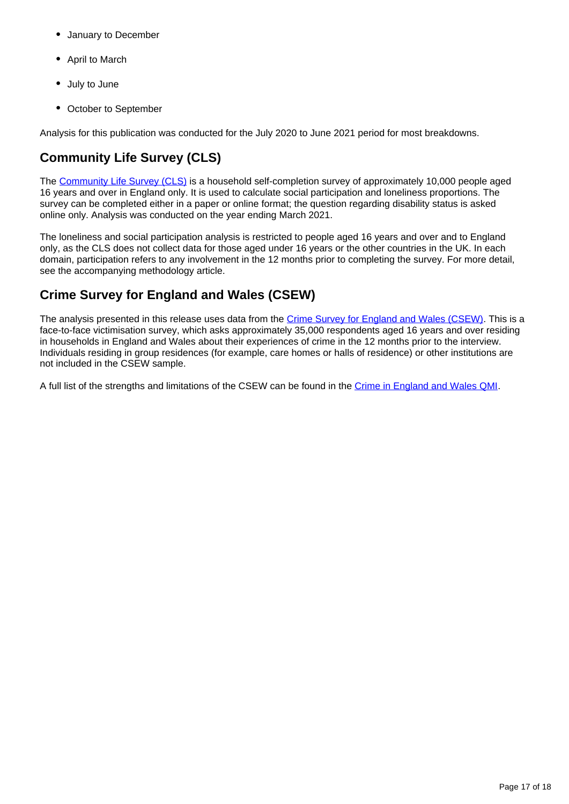- January to December
- April to March
- July to June
- October to September

Analysis for this publication was conducted for the July 2020 to June 2021 period for most breakdowns.

## **Community Life Survey (CLS)**

The [Community Life Survey \(CLS\)](https://www.gov.uk/government/collections/community-life-survey--2) is a household self-completion survey of approximately 10,000 people aged 16 years and over in England only. It is used to calculate social participation and loneliness proportions. The survey can be completed either in a paper or online format; the question regarding disability status is asked online only. Analysis was conducted on the year ending March 2021.

The loneliness and social participation analysis is restricted to people aged 16 years and over and to England only, as the CLS does not collect data for those aged under 16 years or the other countries in the UK. In each domain, participation refers to any involvement in the 12 months prior to completing the survey. For more detail, see the accompanying methodology article.

## **Crime Survey for England and Wales (CSEW)**

The analysis presented in this release uses data from the [Crime Survey for England and Wales \(CSEW\).](https://www.ons.gov.uk/surveys/informationforhouseholdsandindividuals/householdandindividualsurveys/crimesurveyforenglandandwales) This is a face-to-face victimisation survey, which asks approximately 35,000 respondents aged 16 years and over residing in households in England and Wales about their experiences of crime in the 12 months prior to the interview. Individuals residing in group residences (for example, care homes or halls of residence) or other institutions are not included in the CSEW sample.

A full list of the strengths and limitations of the CSEW can be found in the [Crime in England and Wales QMI](https://www.ons.gov.uk/peoplepopulationandcommunity/crimeandjustice/methodologies/crimeinenglandandwalesqmi).